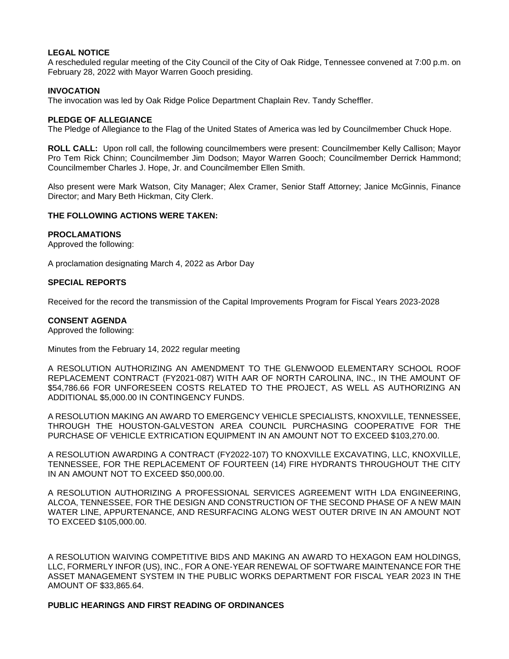# **LEGAL NOTICE**

A rescheduled regular meeting of the City Council of the City of Oak Ridge, Tennessee convened at 7:00 p.m. on February 28, 2022 with Mayor Warren Gooch presiding.

### **INVOCATION**

The invocation was led by Oak Ridge Police Department Chaplain Rev. Tandy Scheffler.

#### **PLEDGE OF ALLEGIANCE**

The Pledge of Allegiance to the Flag of the United States of America was led by Councilmember Chuck Hope.

**ROLL CALL:** Upon roll call, the following councilmembers were present: Councilmember Kelly Callison; Mayor Pro Tem Rick Chinn; Councilmember Jim Dodson; Mayor Warren Gooch; Councilmember Derrick Hammond; Councilmember Charles J. Hope, Jr. and Councilmember Ellen Smith.

Also present were Mark Watson, City Manager; Alex Cramer, Senior Staff Attorney; Janice McGinnis, Finance Director; and Mary Beth Hickman, City Clerk.

### **THE FOLLOWING ACTIONS WERE TAKEN:**

#### **PROCLAMATIONS**

Approved the following:

A proclamation designating March 4, 2022 as Arbor Day

### **SPECIAL REPORTS**

Received for the record the transmission of the Capital Improvements Program for Fiscal Years 2023-2028

### **CONSENT AGENDA**

Approved the following:

Minutes from the February 14, 2022 regular meeting

A RESOLUTION AUTHORIZING AN AMENDMENT TO THE GLENWOOD ELEMENTARY SCHOOL ROOF REPLACEMENT CONTRACT (FY2021-087) WITH AAR OF NORTH CAROLINA, INC., IN THE AMOUNT OF \$54,786.66 FOR UNFORESEEN COSTS RELATED TO THE PROJECT, AS WELL AS AUTHORIZING AN ADDITIONAL \$5,000.00 IN CONTINGENCY FUNDS.

A RESOLUTION MAKING AN AWARD TO EMERGENCY VEHICLE SPECIALISTS, KNOXVILLE, TENNESSEE, THROUGH THE HOUSTON-GALVESTON AREA COUNCIL PURCHASING COOPERATIVE FOR THE PURCHASE OF VEHICLE EXTRICATION EQUIPMENT IN AN AMOUNT NOT TO EXCEED \$103,270.00.

A RESOLUTION AWARDING A CONTRACT (FY2022-107) TO KNOXVILLE EXCAVATING, LLC, KNOXVILLE, TENNESSEE, FOR THE REPLACEMENT OF FOURTEEN (14) FIRE HYDRANTS THROUGHOUT THE CITY IN AN AMOUNT NOT TO EXCEED \$50,000.00.

A RESOLUTION AUTHORIZING A PROFESSIONAL SERVICES AGREEMENT WITH LDA ENGINEERING, ALCOA, TENNESSEE, FOR THE DESIGN AND CONSTRUCTION OF THE SECOND PHASE OF A NEW MAIN WATER LINE, APPURTENANCE, AND RESURFACING ALONG WEST OUTER DRIVE IN AN AMOUNT NOT TO EXCEED \$105,000.00.

A RESOLUTION WAIVING COMPETITIVE BIDS AND MAKING AN AWARD TO HEXAGON EAM HOLDINGS, LLC, FORMERLY INFOR (US), INC., FOR A ONE-YEAR RENEWAL OF SOFTWARE MAINTENANCE FOR THE ASSET MANAGEMENT SYSTEM IN THE PUBLIC WORKS DEPARTMENT FOR FISCAL YEAR 2023 IN THE AMOUNT OF \$33,865.64.

# **PUBLIC HEARINGS AND FIRST READING OF ORDINANCES**